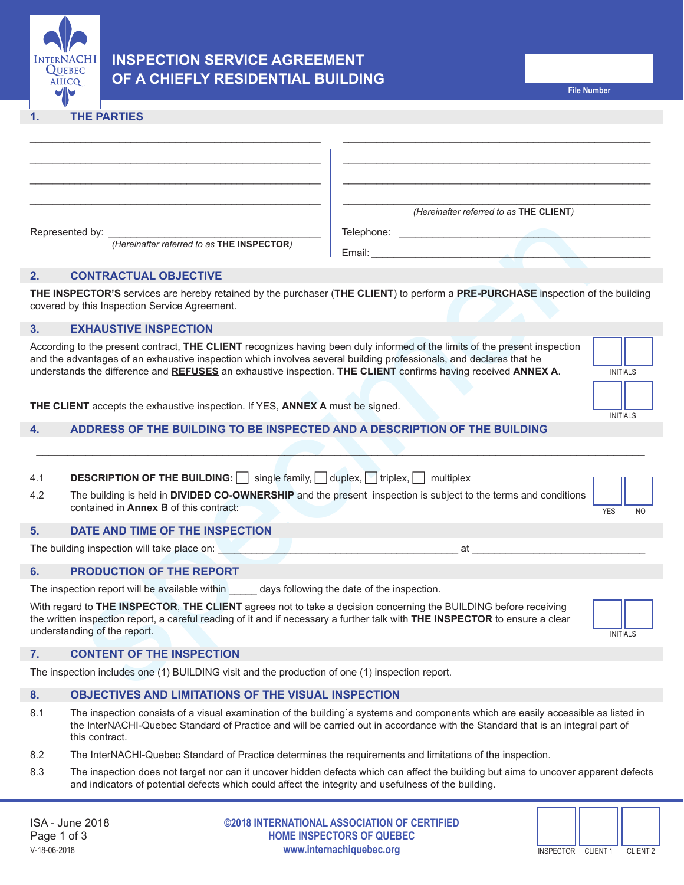

# **INSPECTION SERVICE AGREEMENT OF A CHIEFLY RESIDENTIAL BUILDING**

#### **1. THE PARTIES**

|                                                                                                   |                                                                                                                                                                                                                                                                                                                                                                                      | (Hereinafter referred to as THE CLIENT) |                              |  |  |
|---------------------------------------------------------------------------------------------------|--------------------------------------------------------------------------------------------------------------------------------------------------------------------------------------------------------------------------------------------------------------------------------------------------------------------------------------------------------------------------------------|-----------------------------------------|------------------------------|--|--|
|                                                                                                   | Represented by:                                                                                                                                                                                                                                                                                                                                                                      |                                         |                              |  |  |
|                                                                                                   | (Hereinafter referred to as THE INSPECTOR)                                                                                                                                                                                                                                                                                                                                           |                                         |                              |  |  |
| 2.                                                                                                | <b>CONTRACTUAL OBJECTIVE</b>                                                                                                                                                                                                                                                                                                                                                         |                                         |                              |  |  |
|                                                                                                   | THE INSPECTOR'S services are hereby retained by the purchaser (THE CLIENT) to perform a PRE-PURCHASE inspection of the building<br>covered by this Inspection Service Agreement.                                                                                                                                                                                                     |                                         |                              |  |  |
| 3.                                                                                                | <b>EXHAUSTIVE INSPECTION</b>                                                                                                                                                                                                                                                                                                                                                         |                                         |                              |  |  |
|                                                                                                   | According to the present contract, THE CLIENT recognizes having been duly informed of the limits of the present inspection<br>and the advantages of an exhaustive inspection which involves several building professionals, and declares that he<br>understands the difference and REFUSES an exhaustive inspection. THE CLIENT confirms having received ANNEX A.<br><b>INITIALS</b> |                                         |                              |  |  |
|                                                                                                   |                                                                                                                                                                                                                                                                                                                                                                                      |                                         |                              |  |  |
| THE CLIENT accepts the exhaustive inspection. If YES, ANNEX A must be signed.                     |                                                                                                                                                                                                                                                                                                                                                                                      |                                         |                              |  |  |
| 4.                                                                                                | ADDRESS OF THE BUILDING TO BE INSPECTED AND A DESCRIPTION OF THE BUILDING                                                                                                                                                                                                                                                                                                            |                                         | <b>INITIALS</b>              |  |  |
|                                                                                                   |                                                                                                                                                                                                                                                                                                                                                                                      |                                         |                              |  |  |
|                                                                                                   |                                                                                                                                                                                                                                                                                                                                                                                      |                                         |                              |  |  |
| 4.1                                                                                               | <b>DESCRIPTION OF THE BUILDING:</b> single family, duplex, triplex, multiplex                                                                                                                                                                                                                                                                                                        |                                         |                              |  |  |
| 4.2                                                                                               | The building is held in DIVIDED CO-OWNERSHIP and the present inspection is subject to the terms and conditions<br>contained in <b>Annex B</b> of this contract:                                                                                                                                                                                                                      |                                         | <b>YES</b><br>N <sub>O</sub> |  |  |
| 5.                                                                                                | DATE AND TIME OF THE INSPECTION                                                                                                                                                                                                                                                                                                                                                      |                                         |                              |  |  |
|                                                                                                   | The building inspection will take place on: <b>William Community Community</b> and the building inspection will take place on:                                                                                                                                                                                                                                                       | at                                      |                              |  |  |
| 6.                                                                                                | PRODUCTION OF THE REPORT                                                                                                                                                                                                                                                                                                                                                             |                                         |                              |  |  |
| The inspection report will be available within _______ days following the date of the inspection. |                                                                                                                                                                                                                                                                                                                                                                                      |                                         |                              |  |  |
|                                                                                                   | With regard to THE INSPECTOR, THE CLIENT agrees not to take a decision concerning the BUILDING before receiving<br>the written inspection report, a careful reading of it and if necessary a further talk with THE INSPECTOR to ensure a clear<br>understanding of the report.                                                                                                       |                                         | <b>INITIALS</b>              |  |  |
| 7.                                                                                                | <b>CONTENT OF THE INSPECTION</b>                                                                                                                                                                                                                                                                                                                                                     |                                         |                              |  |  |
|                                                                                                   | The inspection includes one (1) BUILDING visit and the production of one (1) inspection report.                                                                                                                                                                                                                                                                                      |                                         |                              |  |  |
|                                                                                                   |                                                                                                                                                                                                                                                                                                                                                                                      |                                         |                              |  |  |

# **2. CONTRACTUAL OBJECTIVE**

# **3. EXHAUSTIVE INSPECTION**

|                 | <b>INITIALS</b> |  |
|-----------------|-----------------|--|
|                 |                 |  |
|                 |                 |  |
| <b>INITIALS</b> |                 |  |

## **4. ADDRESS OF THE BUILDING TO BE INSPECTED AND A DESCRIPTION OF THE BUILDING**

- 4.1 **DESCRIPTION OF THE BUILDING:** single family, duplex, itriplex, multiplex
- 4.2 The building is held in **DIVIDED CO-OWNERSHIP** and the present inspection is subject to the terms and conditions contained in **Annex B** of this contract:

#### **5. DATE AND TIME OF THE INSPECTION**

#### **6. PRODUCTION OF THE REPORT**

#### **7. CONTENT OF THE INSPECTION**

### **8. OBJECTIVES AND LIMITATIONS OF THE VISUAL INSPECTION**

- 8.1 The inspection consists of a visual examination of the building`s systems and components which are easily accessible as listed in the InterNACHI-Quebec Standard of Practice and will be carried out in accordance with the Standard that is an integral part of this contract.
- 8.2 The InterNACHI-Quebec Standard of Practice determines the requirements and limitations of the inspection.
- 8.3 The inspection does not target nor can it uncover hidden defects which can affect the building but aims to uncover apparent defects and indicators of potential defects which could affect the integrity and usefulness of the building.

**©2018 INTERNATIONAL ASSOCIATION OF CERTIFIED HOME INSPECTORS OF QUEBEC** V-18-06-2018 **www.internachiquebec.org**

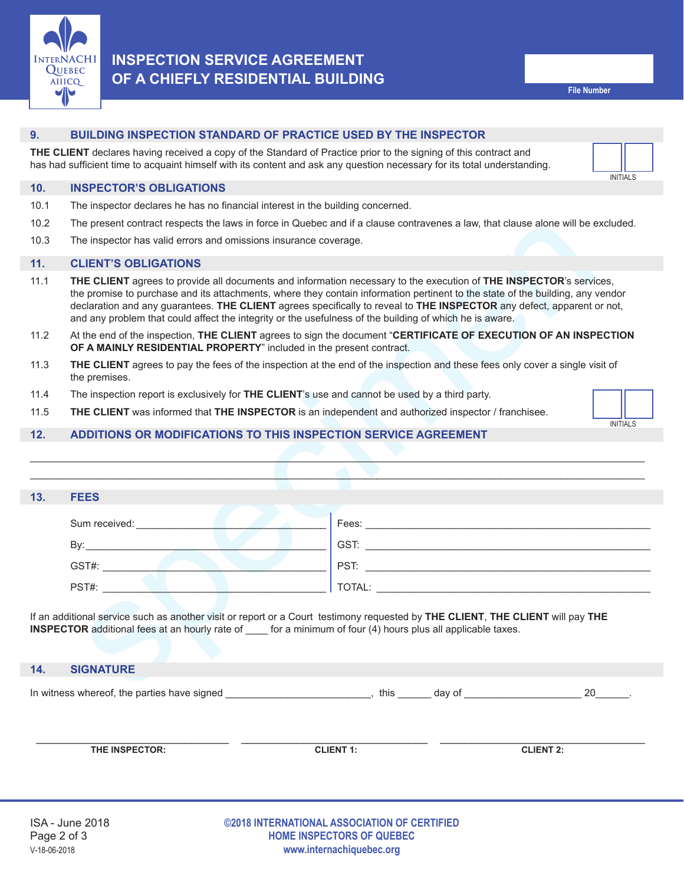

# **INSPECTION SERVICE AGREEMENT OF A CHIEFLY RESIDENTIAL BUILDING**

#### **9. BUILDING INSPECTION STANDARD OF PRACTICE USED BY THE INSPECTOR**

**THE CLIENT** declares having received a copy of the Standard of Practice prior to the signing of this contract and has had sufficient time to acquaint himself with its content and ask any question necessary for its total understanding.



#### **10. INSPECTOR'S OBLIGATIONS**

- 10.1 The inspector declares he has no financial interest in the building concerned.
- 10.2 The present contract respects the laws in force in Quebec and if a clause contravenes a law, that clause alone will be excluded.
- 10.3 The inspector has valid errors and omissions insurance coverage.

#### **11. CLIENT'S OBLIGATIONS**

- 11.1 **THE CLIENT** agrees to provide all documents and information necessary to the execution of **THE INSPECTOR**'s services, the promise to purchase and its attachments, where they contain information pertinent to the state of the building, any vendor declaration and any guarantees. **THE CLIENT** agrees specifically to reveal to **THE INSPECTOR** any defect, apparent or not, and any problem that could affect the integrity or the usefulness of the building of which he is aware.
- 11.2 At the end of the inspection, **THE CLIENT** agrees to sign the document "**CERTIFICATE OF EXECUTION OF AN INSPECTION OF A MAINLY RESIDENTIAL PROPERTY**" included in the present contract.
- 11.3 **THE CLIENT** agrees to pay the fees of the inspection at the end of the inspection and these fees only cover a single visit of the premises.
- 11.4 The inspection report is exclusively for **THE CLIENT**'s use and cannot be used by a third party.
- 11.5 **THE CLIENT** was informed that **THE INSPECTOR** is an independent and authorized inspector / franchisee.

### **12. ADDITIONS OR MODIFICATIONS TO THIS INSPECTION SERVICE AGREEMENT**

| 10.2 | The present contract respects the laws in force in Quebec and if a clause contravenes a law, that clause alone will be excluded.                                                                                                                                                                                                                                                                                                                                                          |      |        |                 |
|------|-------------------------------------------------------------------------------------------------------------------------------------------------------------------------------------------------------------------------------------------------------------------------------------------------------------------------------------------------------------------------------------------------------------------------------------------------------------------------------------------|------|--------|-----------------|
| 10.3 | The inspector has valid errors and omissions insurance coverage.                                                                                                                                                                                                                                                                                                                                                                                                                          |      |        |                 |
| 11.  | <b>CLIENT'S OBLIGATIONS</b>                                                                                                                                                                                                                                                                                                                                                                                                                                                               |      |        |                 |
| 11.1 | THE CLIENT agrees to provide all documents and information necessary to the execution of THE INSPECTOR's services,<br>the promise to purchase and its attachments, where they contain information pertinent to the state of the building, any vendor<br>declaration and any guarantees. THE CLIENT agrees specifically to reveal to THE INSPECTOR any defect, apparent or not,<br>and any problem that could affect the integrity or the usefulness of the building of which he is aware. |      |        |                 |
| 11.2 | At the end of the inspection, THE CLIENT agrees to sign the document "CERTIFICATE OF EXECUTION OF AN INSPECTION<br>OF A MAINLY RESIDENTIAL PROPERTY" included in the present contract.                                                                                                                                                                                                                                                                                                    |      |        |                 |
| 11.3 | THE CLIENT agrees to pay the fees of the inspection at the end of the inspection and these fees only cover a single visit of<br>the premises.                                                                                                                                                                                                                                                                                                                                             |      |        |                 |
| 11.4 | The inspection report is exclusively for THE CLIENT's use and cannot be used by a third party.                                                                                                                                                                                                                                                                                                                                                                                            |      |        |                 |
| 11.5 | <b>THE CLIENT</b> was informed that <b>THE INSPECTOR</b> is an independent and authorized inspector / franchisee.                                                                                                                                                                                                                                                                                                                                                                         |      |        |                 |
| 12.  | <b>ADDITIONS OR MODIFICATIONS TO THIS INSPECTION SERVICE AGREEMENT</b>                                                                                                                                                                                                                                                                                                                                                                                                                    |      |        | <b>INITIALS</b> |
|      |                                                                                                                                                                                                                                                                                                                                                                                                                                                                                           |      |        |                 |
|      |                                                                                                                                                                                                                                                                                                                                                                                                                                                                                           |      |        |                 |
| 13.  | <b>FEES</b>                                                                                                                                                                                                                                                                                                                                                                                                                                                                               |      |        |                 |
|      |                                                                                                                                                                                                                                                                                                                                                                                                                                                                                           |      |        |                 |
|      |                                                                                                                                                                                                                                                                                                                                                                                                                                                                                           |      |        |                 |
|      | GST#: <u>Andreas Contract Contract Contract Contract Contract Contract Contract Contract Contract Contract Contract Contract Contract Contract Contract Contract Contract Contract Contract Contract Contract Contract Contract </u>                                                                                                                                                                                                                                                      |      |        |                 |
|      | PST#: New York PST# 2007                                                                                                                                                                                                                                                                                                                                                                                                                                                                  |      |        |                 |
|      | If an additional service such as another visit or report or a Court testimony requested by THE CLIENT, THE CLIENT will pay THE<br><b>INSPECTOR</b> additional fees at an hourly rate of ____ for a minimum of four (4) hours plus all applicable taxes.                                                                                                                                                                                                                                   |      |        |                 |
| 14.  | <b>SIGNATURE</b>                                                                                                                                                                                                                                                                                                                                                                                                                                                                          |      |        |                 |
|      | In witness whereaf the perties house aigned                                                                                                                                                                                                                                                                                                                                                                                                                                               | $+1$ | $\sim$ | ററ              |

#### **14. SIGNATURE**

In witness whereof, the parties have signed  $10$  and  $10$  and  $10$  and  $10$  day of  $10$  and  $10$  and  $10$  and  $10$  and  $10$  and  $10$  and  $10$  and  $10$  and  $10$  and  $10$  and  $10$  and  $10$  and  $10$  and  $10$  and  $10$  and  $10$ 

| THE INSPECTOR: | <b>CLIENT 1:</b> | <b>CLIENT 2:</b> |
|----------------|------------------|------------------|
|                |                  |                  |
|                |                  |                  |
|                |                  |                  |
|                |                  |                  |
|                |                  |                  |
|                |                  |                  |

#### **©2018 INTERNATIONAL ASSOCIATION OF CERTIFIED HOME INSPECTORS OF QUEBEC** V-18-06-2018 **www.internachiquebec.org**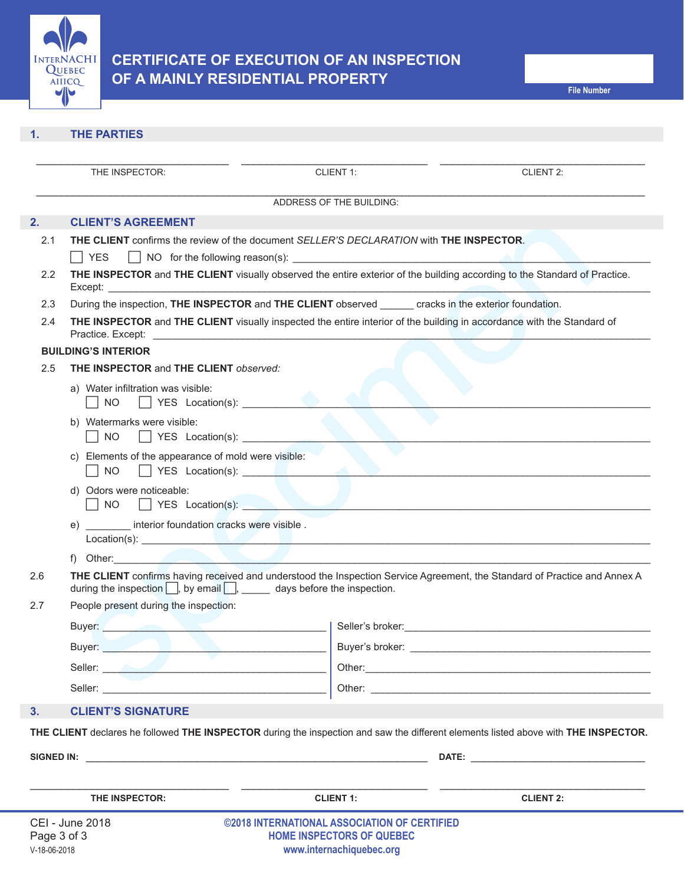

## **1. THE PARTIES**

| <b>CLIENT'S AGREEMENT</b><br>THE CLIENT confirms the review of the document SELLER'S DECLARATION with THE INSPECTOR.<br>∣ ∣YES<br>THE INSPECTOR and THE CLIENT visually observed the entire exterior of the building according to the Standard of Practice.<br>During the inspection, THE INSPECTOR and THE CLIENT observed cracks in the exterior foundation.<br>THE INSPECTOR and THE CLIENT visually inspected the entire interior of the building in accordance with the Standard of<br>Practice. Except:<br><b>BUILDING'S INTERIOR</b><br><b>THE INSPECTOR and THE CLIENT observed:</b><br>a) Water infiltration was visible:<br>NO TYES Location(s):<br>b) Watermarks were visible:<br>$\overline{\phantom{a}}$ NO<br>c) Elements of the appearance of mold were visible:<br>NO TYES Location(s): The Manuscript of the Manuscript of the Manuscript of the Manuscript of the Manuscript of the Manuscript of the Manuscript of the Manuscript of the Manuscript of the Manuscript of the Manuscript of the<br>d) Odors were noticeable:<br>YES Location(s):<br>$\vert$ $\vert$ NO $\vert$ | ADDRESS OF THE BUILDING: |                                                                                                                                                                                                                                                                                                                                                                                                                                                                                                                                                                                                                                                                                                                                                                                                                                                                                                                           |
|--------------------------------------------------------------------------------------------------------------------------------------------------------------------------------------------------------------------------------------------------------------------------------------------------------------------------------------------------------------------------------------------------------------------------------------------------------------------------------------------------------------------------------------------------------------------------------------------------------------------------------------------------------------------------------------------------------------------------------------------------------------------------------------------------------------------------------------------------------------------------------------------------------------------------------------------------------------------------------------------------------------------------------------------------------------------------------------------------|--------------------------|---------------------------------------------------------------------------------------------------------------------------------------------------------------------------------------------------------------------------------------------------------------------------------------------------------------------------------------------------------------------------------------------------------------------------------------------------------------------------------------------------------------------------------------------------------------------------------------------------------------------------------------------------------------------------------------------------------------------------------------------------------------------------------------------------------------------------------------------------------------------------------------------------------------------------|
|                                                                                                                                                                                                                                                                                                                                                                                                                                                                                                                                                                                                                                                                                                                                                                                                                                                                                                                                                                                                                                                                                                  |                          |                                                                                                                                                                                                                                                                                                                                                                                                                                                                                                                                                                                                                                                                                                                                                                                                                                                                                                                           |
|                                                                                                                                                                                                                                                                                                                                                                                                                                                                                                                                                                                                                                                                                                                                                                                                                                                                                                                                                                                                                                                                                                  |                          |                                                                                                                                                                                                                                                                                                                                                                                                                                                                                                                                                                                                                                                                                                                                                                                                                                                                                                                           |
|                                                                                                                                                                                                                                                                                                                                                                                                                                                                                                                                                                                                                                                                                                                                                                                                                                                                                                                                                                                                                                                                                                  |                          |                                                                                                                                                                                                                                                                                                                                                                                                                                                                                                                                                                                                                                                                                                                                                                                                                                                                                                                           |
|                                                                                                                                                                                                                                                                                                                                                                                                                                                                                                                                                                                                                                                                                                                                                                                                                                                                                                                                                                                                                                                                                                  |                          |                                                                                                                                                                                                                                                                                                                                                                                                                                                                                                                                                                                                                                                                                                                                                                                                                                                                                                                           |
|                                                                                                                                                                                                                                                                                                                                                                                                                                                                                                                                                                                                                                                                                                                                                                                                                                                                                                                                                                                                                                                                                                  |                          |                                                                                                                                                                                                                                                                                                                                                                                                                                                                                                                                                                                                                                                                                                                                                                                                                                                                                                                           |
|                                                                                                                                                                                                                                                                                                                                                                                                                                                                                                                                                                                                                                                                                                                                                                                                                                                                                                                                                                                                                                                                                                  |                          |                                                                                                                                                                                                                                                                                                                                                                                                                                                                                                                                                                                                                                                                                                                                                                                                                                                                                                                           |
|                                                                                                                                                                                                                                                                                                                                                                                                                                                                                                                                                                                                                                                                                                                                                                                                                                                                                                                                                                                                                                                                                                  |                          |                                                                                                                                                                                                                                                                                                                                                                                                                                                                                                                                                                                                                                                                                                                                                                                                                                                                                                                           |
|                                                                                                                                                                                                                                                                                                                                                                                                                                                                                                                                                                                                                                                                                                                                                                                                                                                                                                                                                                                                                                                                                                  |                          |                                                                                                                                                                                                                                                                                                                                                                                                                                                                                                                                                                                                                                                                                                                                                                                                                                                                                                                           |
|                                                                                                                                                                                                                                                                                                                                                                                                                                                                                                                                                                                                                                                                                                                                                                                                                                                                                                                                                                                                                                                                                                  |                          |                                                                                                                                                                                                                                                                                                                                                                                                                                                                                                                                                                                                                                                                                                                                                                                                                                                                                                                           |
|                                                                                                                                                                                                                                                                                                                                                                                                                                                                                                                                                                                                                                                                                                                                                                                                                                                                                                                                                                                                                                                                                                  |                          |                                                                                                                                                                                                                                                                                                                                                                                                                                                                                                                                                                                                                                                                                                                                                                                                                                                                                                                           |
|                                                                                                                                                                                                                                                                                                                                                                                                                                                                                                                                                                                                                                                                                                                                                                                                                                                                                                                                                                                                                                                                                                  |                          |                                                                                                                                                                                                                                                                                                                                                                                                                                                                                                                                                                                                                                                                                                                                                                                                                                                                                                                           |
|                                                                                                                                                                                                                                                                                                                                                                                                                                                                                                                                                                                                                                                                                                                                                                                                                                                                                                                                                                                                                                                                                                  |                          |                                                                                                                                                                                                                                                                                                                                                                                                                                                                                                                                                                                                                                                                                                                                                                                                                                                                                                                           |
| e) interior foundation cracks were visible.                                                                                                                                                                                                                                                                                                                                                                                                                                                                                                                                                                                                                                                                                                                                                                                                                                                                                                                                                                                                                                                      |                          |                                                                                                                                                                                                                                                                                                                                                                                                                                                                                                                                                                                                                                                                                                                                                                                                                                                                                                                           |
| f) Other: <b>All According to the Contract of According to the Contract of According to the Contract of According to the Contract of According to the Contract of According to the Contract of According to the Contract of Acco</b>                                                                                                                                                                                                                                                                                                                                                                                                                                                                                                                                                                                                                                                                                                                                                                                                                                                             |                          |                                                                                                                                                                                                                                                                                                                                                                                                                                                                                                                                                                                                                                                                                                                                                                                                                                                                                                                           |
|                                                                                                                                                                                                                                                                                                                                                                                                                                                                                                                                                                                                                                                                                                                                                                                                                                                                                                                                                                                                                                                                                                  |                          |                                                                                                                                                                                                                                                                                                                                                                                                                                                                                                                                                                                                                                                                                                                                                                                                                                                                                                                           |
| People present during the inspection:                                                                                                                                                                                                                                                                                                                                                                                                                                                                                                                                                                                                                                                                                                                                                                                                                                                                                                                                                                                                                                                            |                          |                                                                                                                                                                                                                                                                                                                                                                                                                                                                                                                                                                                                                                                                                                                                                                                                                                                                                                                           |
|                                                                                                                                                                                                                                                                                                                                                                                                                                                                                                                                                                                                                                                                                                                                                                                                                                                                                                                                                                                                                                                                                                  |                          | Seller's broker: etc. and the self-                                                                                                                                                                                                                                                                                                                                                                                                                                                                                                                                                                                                                                                                                                                                                                                                                                                                                       |
|                                                                                                                                                                                                                                                                                                                                                                                                                                                                                                                                                                                                                                                                                                                                                                                                                                                                                                                                                                                                                                                                                                  |                          |                                                                                                                                                                                                                                                                                                                                                                                                                                                                                                                                                                                                                                                                                                                                                                                                                                                                                                                           |
| Seller: And Allen and Allen and Allen and Allen and Allen and Allen and Allen and Allen and Allen and Allen and Allen and Allen and Allen and Allen and Allen and Allen and Allen and Allen and Allen and Allen and Allen and                                                                                                                                                                                                                                                                                                                                                                                                                                                                                                                                                                                                                                                                                                                                                                                                                                                                    |                          |                                                                                                                                                                                                                                                                                                                                                                                                                                                                                                                                                                                                                                                                                                                                                                                                                                                                                                                           |
| Seller: Electric Contract of the Contract of the Contract of the Contract of the Contract of the Contract of the Contract of the Contract of the Contract of the Contract of the Contract of the Contract of the Contract of t                                                                                                                                                                                                                                                                                                                                                                                                                                                                                                                                                                                                                                                                                                                                                                                                                                                                   |                          |                                                                                                                                                                                                                                                                                                                                                                                                                                                                                                                                                                                                                                                                                                                                                                                                                                                                                                                           |
| <b>CLIENT'S SIGNATURE</b>                                                                                                                                                                                                                                                                                                                                                                                                                                                                                                                                                                                                                                                                                                                                                                                                                                                                                                                                                                                                                                                                        |                          |                                                                                                                                                                                                                                                                                                                                                                                                                                                                                                                                                                                                                                                                                                                                                                                                                                                                                                                           |
|                                                                                                                                                                                                                                                                                                                                                                                                                                                                                                                                                                                                                                                                                                                                                                                                                                                                                                                                                                                                                                                                                                  |                          |                                                                                                                                                                                                                                                                                                                                                                                                                                                                                                                                                                                                                                                                                                                                                                                                                                                                                                                           |
|                                                                                                                                                                                                                                                                                                                                                                                                                                                                                                                                                                                                                                                                                                                                                                                                                                                                                                                                                                                                                                                                                                  |                          |                                                                                                                                                                                                                                                                                                                                                                                                                                                                                                                                                                                                                                                                                                                                                                                                                                                                                                                           |
|                                                                                                                                                                                                                                                                                                                                                                                                                                                                                                                                                                                                                                                                                                                                                                                                                                                                                                                                                                                                                                                                                                  |                          | <b>DATE:</b> the contract of the contract of the contract of the contract of the contract of the contract of the contract of the contract of the contract of the contract of the contract of the contract of the contract of the co                                                                                                                                                                                                                                                                                                                                                                                                                                                                                                                                                                                                                                                                                       |
| THE INSPECTOR:                                                                                                                                                                                                                                                                                                                                                                                                                                                                                                                                                                                                                                                                                                                                                                                                                                                                                                                                                                                                                                                                                   |                          | <b>CLIENT 2:</b>                                                                                                                                                                                                                                                                                                                                                                                                                                                                                                                                                                                                                                                                                                                                                                                                                                                                                                          |
|                                                                                                                                                                                                                                                                                                                                                                                                                                                                                                                                                                                                                                                                                                                                                                                                                                                                                                                                                                                                                                                                                                  |                          | THE CLIENT confirms having received and understood the Inspection Service Agreement, the Standard of Practice and Annex A<br>during the inspection $\Box$ , by email $\Box$ , ______ days before the inspection.<br>Buyer: New York State And the Communication of the Communication of the Communication of the Communication of the Communication of the Communication of the Communication of the Communication of the Communication of the Com<br>Buyer: New York State Street, Street Street, Street Street, Street Street Street Street Street Street Street Street Street Street Street Street Street Street Street Street Street Street Street Street Street Street Street S<br>THE CLIENT declares he followed THE INSPECTOR during the inspection and saw the different elements listed above with THE INSPECTOR.<br><b>CLIENT 1:</b><br><b>CEI - June 2018</b><br>©2018 INTERNATIONAL ASSOCIATION OF CERTIFIED |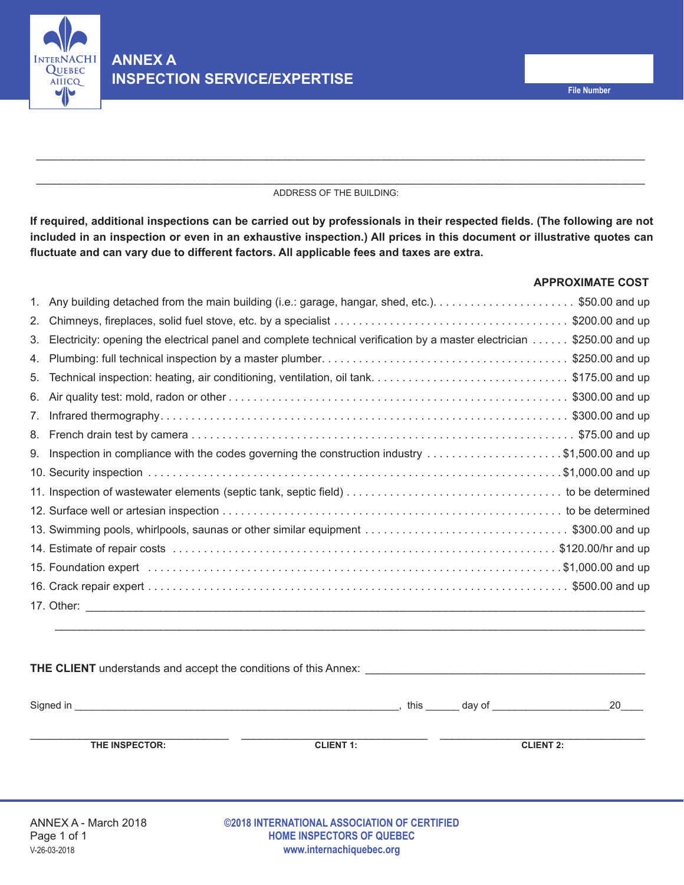

#### \_\_\_\_\_\_\_\_\_\_\_\_\_\_\_\_\_\_\_\_\_\_\_\_\_\_\_\_\_\_\_\_\_\_\_\_\_\_\_\_\_\_\_\_\_\_\_\_\_\_\_\_\_\_\_\_\_\_\_\_\_\_\_\_\_\_\_\_\_\_\_\_\_\_\_\_\_\_\_\_\_\_\_\_\_\_\_\_\_\_\_\_\_\_\_\_\_\_ ADDRESS OF THE BUILDING:

\_\_\_\_\_\_\_\_\_\_\_\_\_\_\_\_\_\_\_\_\_\_\_\_\_\_\_\_\_\_\_\_\_\_\_\_\_\_\_\_\_\_\_\_\_\_\_\_\_\_\_\_\_\_\_\_\_\_\_\_\_\_\_\_\_\_\_\_\_\_\_\_\_\_\_\_\_\_\_\_\_\_\_\_\_\_\_\_\_\_\_\_\_\_\_\_\_\_

**If required, additional inspections can be carried out by professionals in their respected fields. (The following are not included in an inspection or even in an exhaustive inspection.) All prices in this document or illustrative quotes can fluctuate and can vary due to different factors. All applicable fees and taxes are extra.**

## **APPROXIMATE COST**

| 1. |                                                                                                                       |
|----|-----------------------------------------------------------------------------------------------------------------------|
| 2. |                                                                                                                       |
| 3. | Electricity: opening the electrical panel and complete technical verification by a master electrician \$250.00 and up |
| 4. |                                                                                                                       |
| 5. |                                                                                                                       |
| 6. |                                                                                                                       |
| 7. |                                                                                                                       |
| 8. |                                                                                                                       |
| 9. | Inspection in compliance with the codes governing the construction industry \$1,500.00 and up                         |
|    |                                                                                                                       |
|    |                                                                                                                       |
|    |                                                                                                                       |
|    |                                                                                                                       |
|    | 14. Estimate of repair costs …………………………………………………………………………………… \$120.00/hr and up                                      |
|    |                                                                                                                       |
|    |                                                                                                                       |
|    |                                                                                                                       |
|    |                                                                                                                       |
|    |                                                                                                                       |

|                      | <b>THE CLIENT</b> understands and accept the conditions of this Annex: <b>CLIENT</b> Unit also also a series and accept the conditions of this Annex: |                         |     |
|----------------------|-------------------------------------------------------------------------------------------------------------------------------------------------------|-------------------------|-----|
|                      |                                                                                                                                                       | this day of this day of | -20 |
| THE INSPECTOR:       | <b>CLIENT 1:</b>                                                                                                                                      | <b>CLIENT 2:</b>        |     |
| ANNEX A - March 2018 | ©2018 INTERNATIONAL ASSOCIATION OF CERTIFIED                                                                                                          |                         |     |